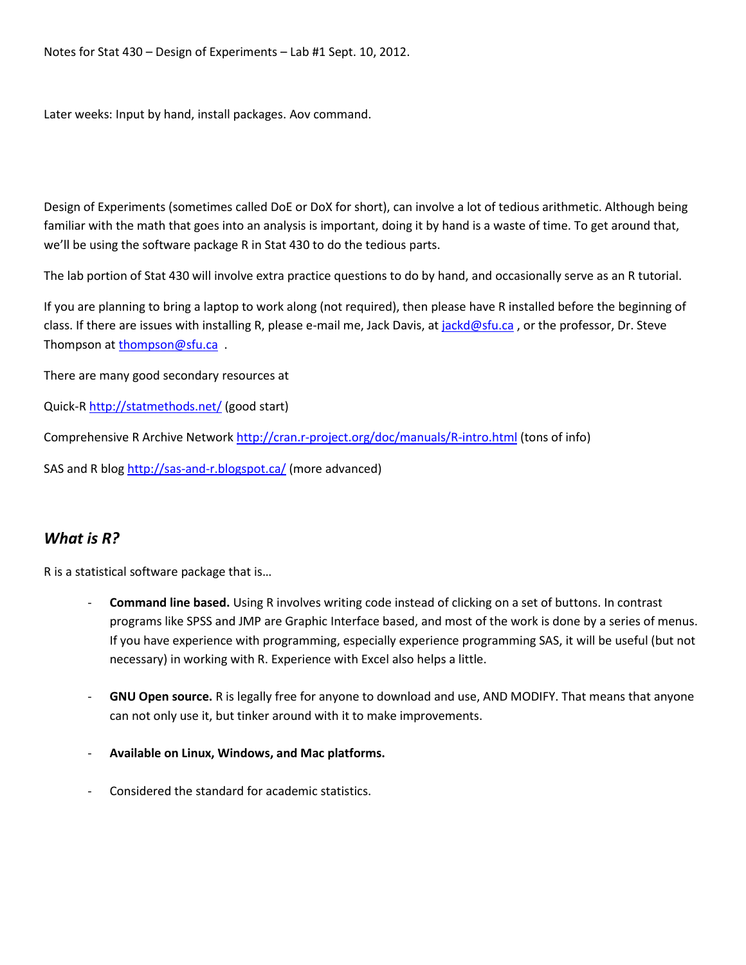Later weeks: Input by hand, install packages. Aov command.

Design of Experiments (sometimes called DoE or DoX for short), can involve a lot of tedious arithmetic. Although being familiar with the math that goes into an analysis is important, doing it by hand is a waste of time. To get around that, we'll be using the software package R in Stat 430 to do the tedious parts.

The lab portion of Stat 430 will involve extra practice questions to do by hand, and occasionally serve as an R tutorial.

If you are planning to bring a laptop to work along (not required), then please have R installed before the beginning of class. If there are issues with installing R, please e-mail me, Jack Davis, a[t jackd@sfu.ca](mailto:jackd@sfu.ca), or the professor, Dr. Steve Thompson at [thompson@sfu.ca](mailto:thompson@sfu.ca) .

There are many good secondary resources at

Quick-R <http://statmethods.net/> (good start)

Comprehensive R Archive Network <http://cran.r-project.org/doc/manuals/R-intro.html> (tons of info)

SAS and R blo[g http://sas-and-r.blogspot.ca/](http://sas-and-r.blogspot.ca/) (more advanced)

## *What is R?*

R is a statistical software package that is…

- **Command line based.** Using R involves writing code instead of clicking on a set of buttons. In contrast programs like SPSS and JMP are Graphic Interface based, and most of the work is done by a series of menus. If you have experience with programming, especially experience programming SAS, it will be useful (but not necessary) in working with R. Experience with Excel also helps a little.
- **GNU Open source.** R is legally free for anyone to download and use, AND MODIFY. That means that anyone can not only use it, but tinker around with it to make improvements.
- **Available on Linux, Windows, and Mac platforms.**
- Considered the standard for academic statistics.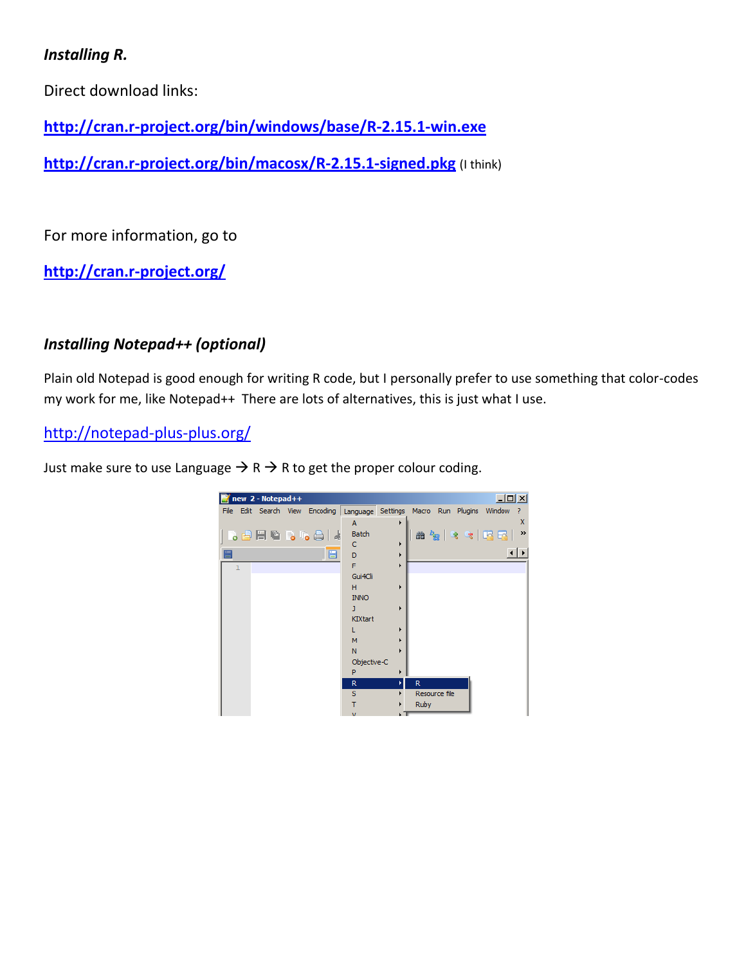# *Installing R.*

Direct download links:

**<http://cran.r-project.org/bin/windows/base/R-2.15.1-win.exe>**

**<http://cran.r-project.org/bin/macosx/R-2.15.1-signed.pkg>** (I think)

For more information, go to

**<http://cran.r-project.org/>**

# *Installing Notepad++ (optional)*

Plain old Notepad is good enough for writing R code, but I personally prefer to use something that color-codes my work for me, like Notepad++ There are lots of alternatives, this is just what I use.

<http://notepad-plus-plus.org/>

Just make sure to use Language  $\rightarrow$  R  $\rightarrow$  R to get the proper colour coding.

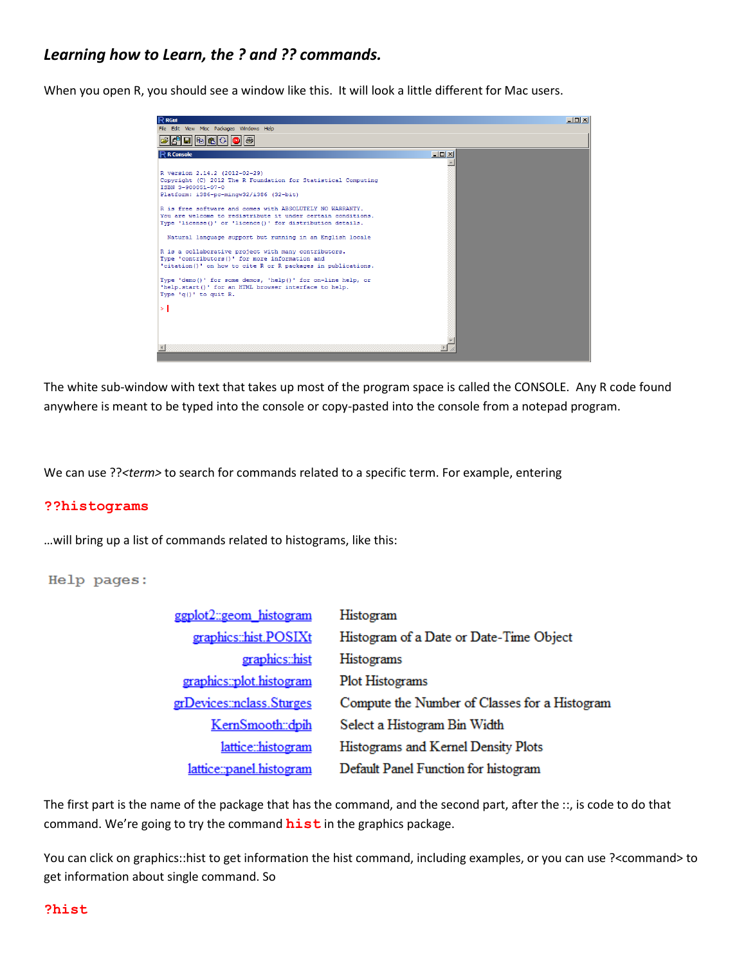## *Learning how to Learn, the ? and ?? commands.*

When you open R, you should see a window like this. It will look a little different for Mac users.



The white sub-window with text that takes up most of the program space is called the CONSOLE. Any R code found anywhere is meant to be typed into the console or copy-pasted into the console from a notepad program.

We can use ??<*term>* to search for commands related to a specific term. For example, entering

#### **??histograms**

…will bring up a list of commands related to histograms, like this:

Help pages:

| ggplot2::geom histogram    | Histogram                                     |
|----------------------------|-----------------------------------------------|
| graphics::hist.POSIXt      | Histogram of a Date or Date-Time Object       |
| graphics::hist             | Histograms                                    |
| graphics::plot.histogram   | Plot Histograms                               |
| grDevices: nclass. Sturges | Compute the Number of Classes for a Histogram |
| KernSmooth::dpih           | Select a Histogram Bin Width                  |
| lattice::histogram         | Histograms and Kernel Density Plots           |
| lattice::panel.histogram   | Default Panel Function for histogram          |

The first part is the name of the package that has the command, and the second part, after the ::, is code to do that command. We're going to try the command **hist** in the graphics package.

You can click on graphics::hist to get information the hist command, including examples, or you can use ?<command> to get information about single command. So

#### **?hist**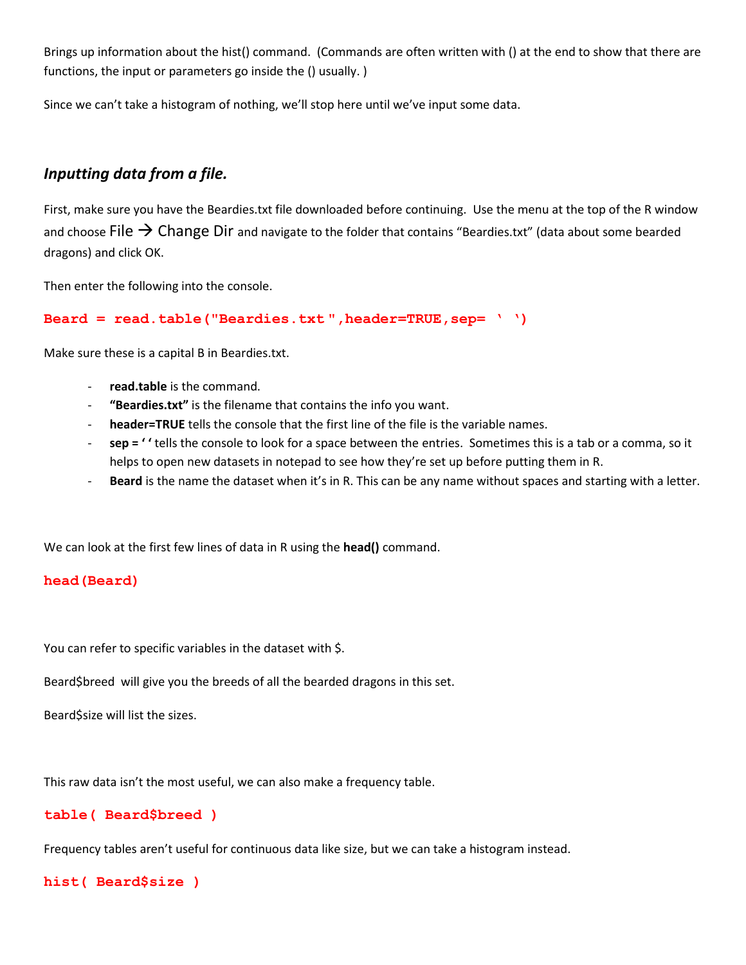Brings up information about the hist() command. (Commands are often written with () at the end to show that there are functions, the input or parameters go inside the () usually. )

Since we can't take a histogram of nothing, we'll stop here until we've input some data.

## *Inputting data from a file.*

First, make sure you have the Beardies.txt file downloaded before continuing. Use the menu at the top of the R window and choose File  $\rightarrow$  Change Dir and navigate to the folder that contains "Beardies.txt" (data about some bearded dragons) and click OK.

Then enter the following into the console.

```
Beard = read.table("Beardies.txt ",header=TRUE,sep= ' ')
```
Make sure these is a capital B in Beardies.txt.

- read.table is the command.
- **"Beardies.txt"** is the filename that contains the info you want.
- header=TRUE tells the console that the first line of the file is the variable names.
- **sep = ' '** tells the console to look for a space between the entries. Sometimes this is a tab or a comma, so it helps to open new datasets in notepad to see how they're set up before putting them in R.
- Beard is the name the dataset when it's in R. This can be any name without spaces and starting with a letter.

We can look at the first few lines of data in R using the **head()** command.

### **head(Beard)**

You can refer to specific variables in the dataset with \$.

Beard\$breed will give you the breeds of all the bearded dragons in this set.

Beard\$size will list the sizes.

This raw data isn't the most useful, we can also make a frequency table.

### **table( Beard\$breed )**

Frequency tables aren't useful for continuous data like size, but we can take a histogram instead.

**hist( Beard\$size )**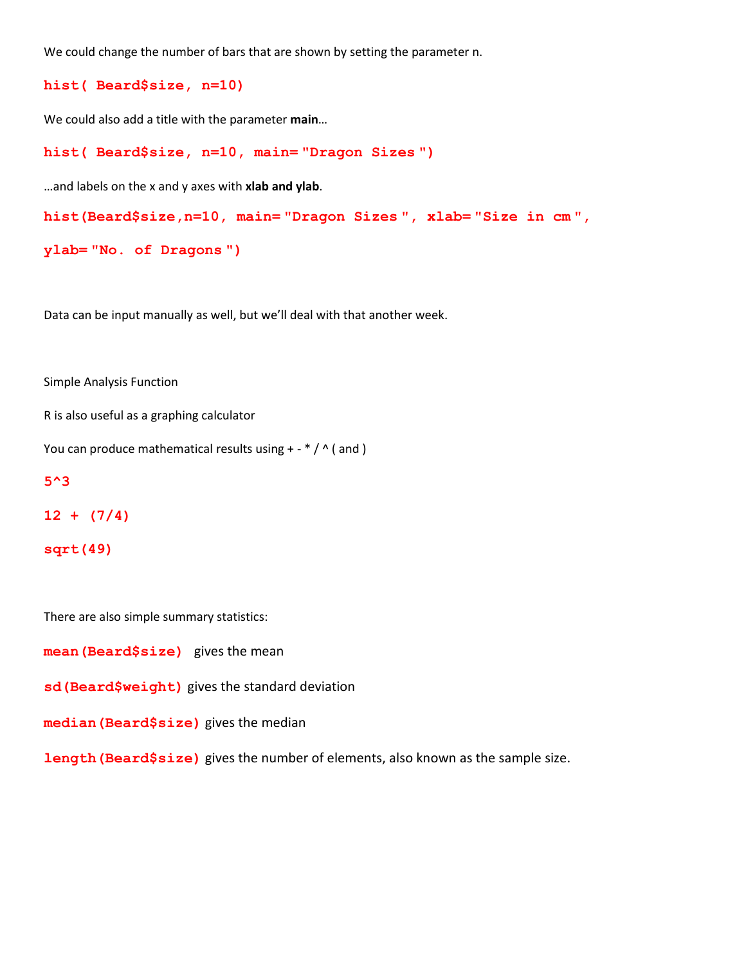We could change the number of bars that are shown by setting the parameter n.

```
hist( Beard$size, n=10)
```
We could also add a title with the parameter **main**…

```
hist( Beard$size, n=10, main= "Dragon Sizes ")
```
…and labels on the x and y axes with **xlab and ylab**.

```
hist(Beard$size,n=10, main= "Dragon Sizes ", xlab= "Size in cm ",
```

```
ylab= "No. of Dragons ")
```
Data can be input manually as well, but we'll deal with that another week.

Simple Analysis Function

R is also useful as a graphing calculator

You can produce mathematical results using  $+ - * / \wedge$  (and )

#### **5^3**

```
12 + (7/4)
```

```
sqrt(49)
```
There are also simple summary statistics:

**mean(Beard\$size)** gives the mean

```
sd(Beard$weight) gives the standard deviation
```
**median(Beard\$size)** gives the median

**length(Beard\$size)** gives the number of elements, also known as the sample size.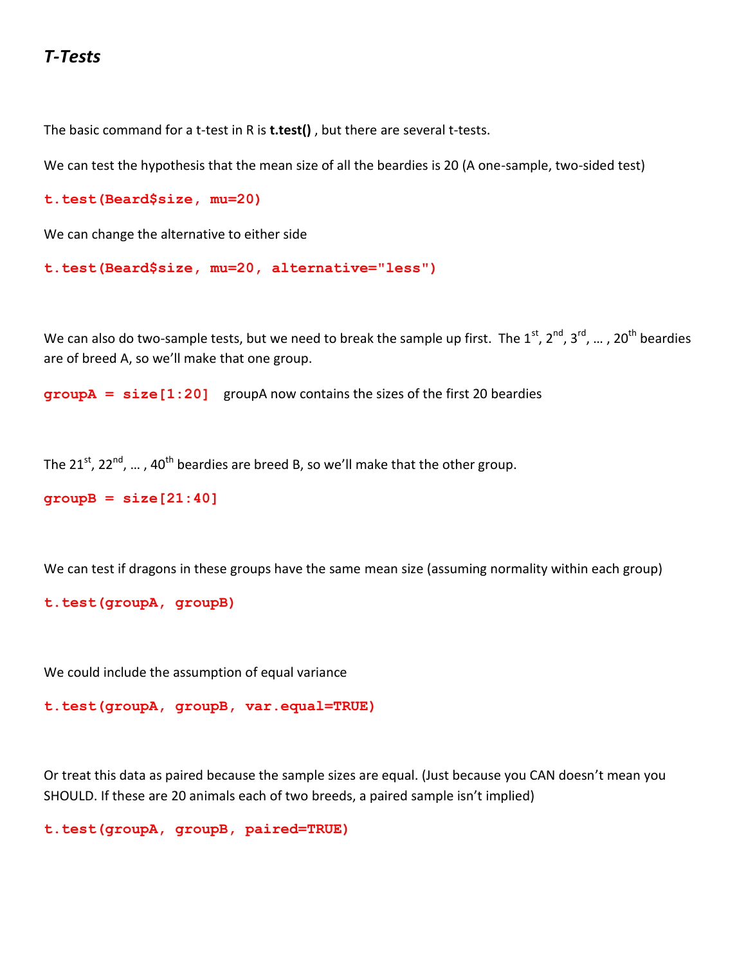# *T-Tests*

The basic command for a t-test in R is **t.test()** , but there are several t-tests.

We can test the hypothesis that the mean size of all the beardies is 20 (A one-sample, two-sided test)

```
t.test(Beard$size, mu=20)
```
We can change the alternative to either side

```
t.test(Beard$size, mu=20, alternative="less")
```
We can also do two-sample tests, but we need to break the sample up first. The 1<sup>st</sup>, 2<sup>nd</sup>, 3<sup>rd</sup>, ... , 20<sup>th</sup> beardies are of breed A, so we'll make that one group.

**groupA = size[1:20]** groupA now contains the sizes of the first 20 beardies

The 21<sup>st</sup>, 22<sup>nd</sup>, ... , 40<sup>th</sup> beardies are breed B, so we'll make that the other group.

```
groupB = size[21:40]
```
We can test if dragons in these groups have the same mean size (assuming normality within each group)

```
t.test(groupA, groupB)
```
We could include the assumption of equal variance

```
t.test(groupA, groupB, var.equal=TRUE)
```
Or treat this data as paired because the sample sizes are equal. (Just because you CAN doesn't mean you SHOULD. If these are 20 animals each of two breeds, a paired sample isn't implied)

```
t.test(groupA, groupB, paired=TRUE)
```